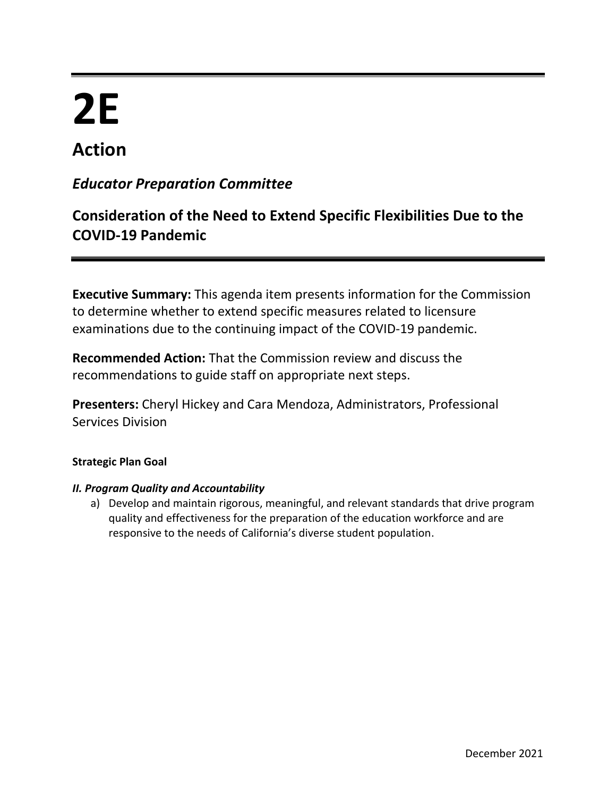# **2E Action**

# *Educator Preparation Committee*

# **Consideration of the Need to Extend Specific Flexibilities Due to the COVID-19 Pandemic**

**Executive Summary:** This agenda item presents information for the Commission to determine whether to extend specific measures related to licensure examinations due to the continuing impact of the COVID-19 pandemic.

**Recommended Action:** That the Commission review and discuss the recommendations to guide staff on appropriate next steps.

**Presenters:** Cheryl Hickey and Cara Mendoza, Administrators, Professional Services Division

# **Strategic Plan Goal**

# *II. Program Quality and Accountability*

a) Develop and maintain rigorous, meaningful, and relevant standards that drive program quality and effectiveness for the preparation of the education workforce and are responsive to the needs of California's diverse student population.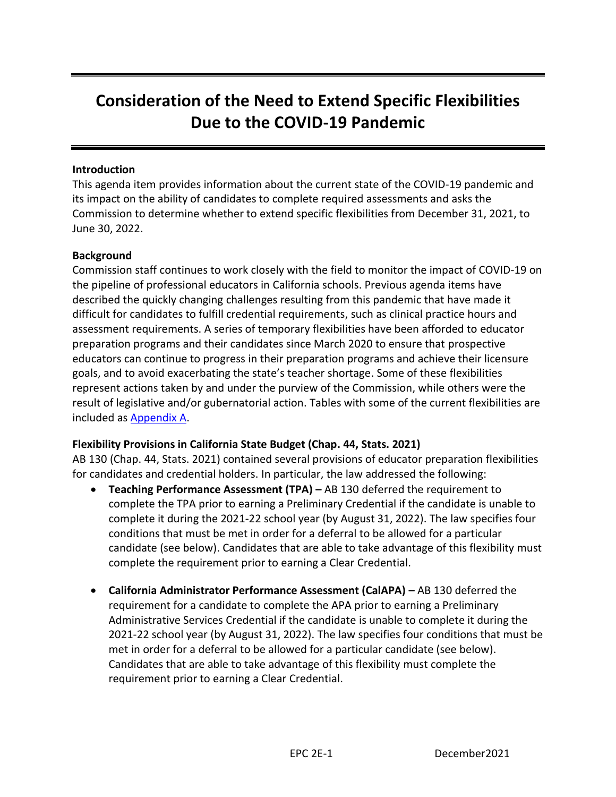# **Consideration of the Need to Extend Specific Flexibilities Due to the COVID-19 Pandemic**

### **Introduction**

This agenda item provides information about the current state of the COVID-19 pandemic and its impact on the ability of candidates to complete required assessments and asks the Commission to determine whether to extend specific flexibilities from December 31, 2021, to June 30, 2022.

#### **Background**

Commission staff continues to work closely with the field to monitor the impact of COVID-19 on the pipeline of professional educators in California schools. Previous agenda items have described the quickly changing challenges resulting from this pandemic that have made it difficult for candidates to fulfill credential requirements, such as clinical practice hours and assessment requirements. A series of temporary flexibilities have been afforded to educator preparation programs and their candidates since March 2020 to ensure that prospective educators can continue to progress in their preparation programs and achieve their licensure goals, and to avoid exacerbating the state's teacher shortage. Some of these flexibilities represent actions taken by and under the purview of the Commission, while others were the result of legislative and/or gubernatorial action. Tables with some of the current flexibilities are included a[s Appendix](#page-10-0) A.

# **Flexibility Provisions in California State Budget (Chap. 44, Stats. 2021)**

AB 130 (Chap. 44, Stats. 2021) contained several provisions of educator preparation flexibilities for candidates and credential holders. In particular, the law addressed the following:

- **Teaching Performance Assessment (TPA) –** AB 130 deferred the requirement to complete the TPA prior to earning a Preliminary Credential if the candidate is unable to complete it during the 2021-22 school year (by August 31, 2022). The law specifies four conditions that must be met in order for a deferral to be allowed for a particular candidate (see below). Candidates that are able to take advantage of this flexibility must complete the requirement prior to earning a Clear Credential.
- **California Administrator Performance Assessment (CalAPA) –** AB 130 deferred the requirement for a candidate to complete the APA prior to earning a Preliminary Administrative Services Credential if the candidate is unable to complete it during the 2021-22 school year (by August 31, 2022). The law specifies four conditions that must be met in order for a deferral to be allowed for a particular candidate (see below). Candidates that are able to take advantage of this flexibility must complete the requirement prior to earning a Clear Credential.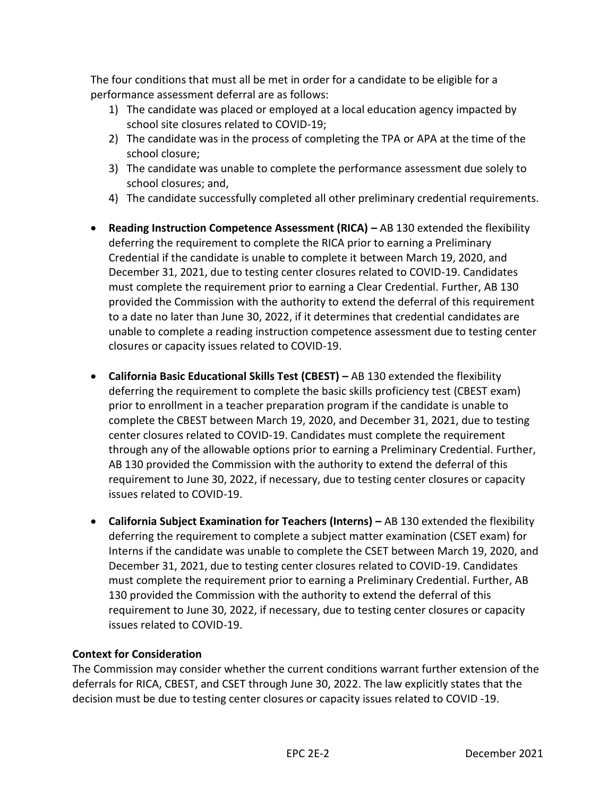The four conditions that must all be met in order for a candidate to be eligible for a performance assessment deferral are as follows:

- 1) The candidate was placed or employed at a local education agency impacted by school site closures related to COVID-19;
- 2) The candidate was in the process of completing the TPA or APA at the time of the school closure;
- 3) The candidate was unable to complete the performance assessment due solely to school closures; and,
- 4) The candidate successfully completed all other preliminary credential requirements.
- **Reading Instruction Competence Assessment (RICA) –** AB 130 extended the flexibility deferring the requirement to complete the RICA prior to earning a Preliminary Credential if the candidate is unable to complete it between March 19, 2020, and December 31, 2021, due to testing center closures related to COVID-19. Candidates must complete the requirement prior to earning a Clear Credential. Further, AB 130 provided the Commission with the authority to extend the deferral of this requirement to a date no later than June 30, 2022, if it determines that credential candidates are unable to complete a reading instruction competence assessment due to testing center closures or capacity issues related to COVID-19.
- **California Basic Educational Skills Test (CBEST) –** AB 130 extended the flexibility deferring the requirement to complete the basic skills proficiency test (CBEST exam) prior to enrollment in a teacher preparation program if the candidate is unable to complete the CBEST between March 19, 2020, and December 31, 2021, due to testing center closures related to COVID-19. Candidates must complete the requirement through any of the allowable options prior to earning a Preliminary Credential. Further, AB 130 provided the Commission with the authority to extend the deferral of this requirement to June 30, 2022, if necessary, due to testing center closures or capacity issues related to COVID-19.
- **California Subject Examination for Teachers (Interns) –** AB 130 extended the flexibility deferring the requirement to complete a subject matter examination (CSET exam) for Interns if the candidate was unable to complete the CSET between March 19, 2020, and December 31, 2021, due to testing center closures related to COVID-19. Candidates must complete the requirement prior to earning a Preliminary Credential. Further, AB 130 provided the Commission with the authority to extend the deferral of this requirement to June 30, 2022, if necessary, due to testing center closures or capacity issues related to COVID-19.

# **Context for Consideration**

The Commission may consider whether the current conditions warrant further extension of the deferrals for RICA, CBEST, and CSET through June 30, 2022. The law explicitly states that the decision must be due to testing center closures or capacity issues related to COVID -19.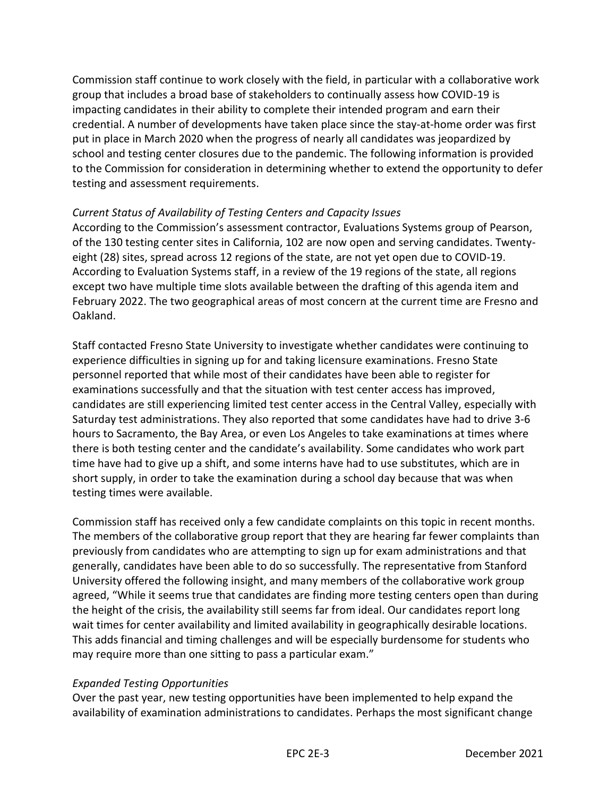Commission staff continue to work closely with the field, in particular with a collaborative work group that includes a broad base of stakeholders to continually assess how COVID-19 is impacting candidates in their ability to complete their intended program and earn their credential. A number of developments have taken place since the stay-at-home order was first put in place in March 2020 when the progress of nearly all candidates was jeopardized by school and testing center closures due to the pandemic. The following information is provided to the Commission for consideration in determining whether to extend the opportunity to defer testing and assessment requirements.

# *Current Status of Availability of Testing Centers and Capacity Issues*

According to the Commission's assessment contractor, Evaluations Systems group of Pearson, of the 130 testing center sites in California, 102 are now open and serving candidates. Twentyeight (28) sites, spread across 12 regions of the state, are not yet open due to COVID-19. According to Evaluation Systems staff, in a review of the 19 regions of the state, all regions except two have multiple time slots available between the drafting of this agenda item and February 2022. The two geographical areas of most concern at the current time are Fresno and Oakland.

Staff contacted Fresno State University to investigate whether candidates were continuing to experience difficulties in signing up for and taking licensure examinations. Fresno State personnel reported that while most of their candidates have been able to register for examinations successfully and that the situation with test center access has improved, candidates are still experiencing limited test center access in the Central Valley, especially with Saturday test administrations. They also reported that some candidates have had to drive 3-6 hours to Sacramento, the Bay Area, or even Los Angeles to take examinations at times where there is both testing center and the candidate's availability. Some candidates who work part time have had to give up a shift, and some interns have had to use substitutes, which are in short supply, in order to take the examination during a school day because that was when testing times were available.

Commission staff has received only a few candidate complaints on this topic in recent months. The members of the collaborative group report that they are hearing far fewer complaints than previously from candidates who are attempting to sign up for exam administrations and that generally, candidates have been able to do so successfully. The representative from Stanford University offered the following insight, and many members of the collaborative work group agreed, "While it seems true that candidates are finding more testing centers open than during the height of the crisis, the availability still seems far from ideal. Our candidates report long wait times for center availability and limited availability in geographically desirable locations. This adds financial and timing challenges and will be especially burdensome for students who may require more than one sitting to pass a particular exam."

# *Expanded Testing Opportunities*

Over the past year, new testing opportunities have been implemented to help expand the availability of examination administrations to candidates. Perhaps the most significant change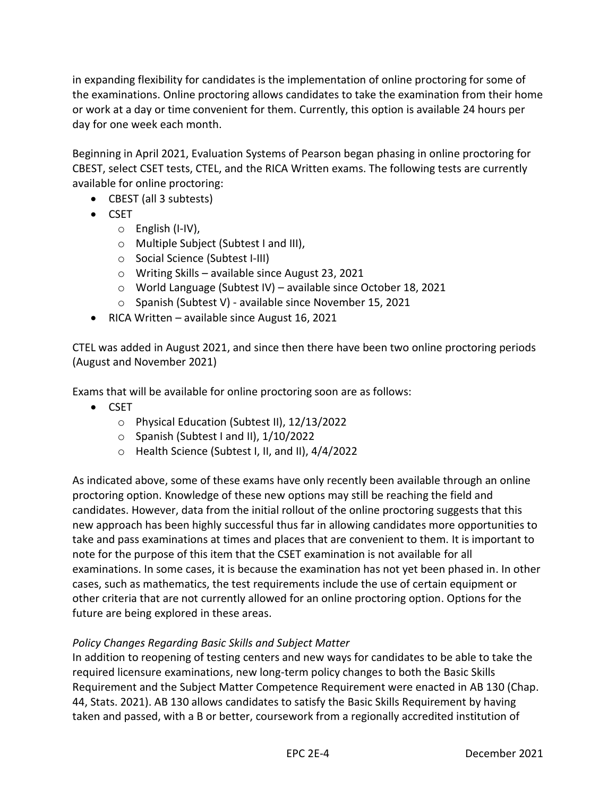in expanding flexibility for candidates is the implementation of online proctoring for some of the examinations. Online proctoring allows candidates to take the examination from their home or work at a day or time convenient for them. Currently, this option is available 24 hours per day for one week each month.

Beginning in April 2021, Evaluation Systems of Pearson began phasing in online proctoring for CBEST, select CSET tests, CTEL, and the RICA Written exams. The following tests are currently available for online proctoring:

- CBEST (all 3 subtests)
- CSET
	- o English (I-IV),
	- o Multiple Subject (Subtest I and III),
	- o Social Science (Subtest I-III)
	- o Writing Skills available since August 23, 2021
	- o World Language (Subtest IV) available since October 18, 2021
	- o Spanish (Subtest V) available since November 15, 2021
- RICA Written available since August 16, 2021

CTEL was added in August 2021, and since then there have been two online proctoring periods (August and November 2021)

Exams that will be available for online proctoring soon are as follows:

- CSET
	- o Physical Education (Subtest II), 12/13/2022
	- o Spanish (Subtest I and II), 1/10/2022
	- o Health Science (Subtest I, II, and II), 4/4/2022

As indicated above, some of these exams have only recently been available through an online proctoring option. Knowledge of these new options may still be reaching the field and candidates. However, data from the initial rollout of the online proctoring suggests that this new approach has been highly successful thus far in allowing candidates more opportunities to take and pass examinations at times and places that are convenient to them. It is important to note for the purpose of this item that the CSET examination is not available for all examinations. In some cases, it is because the examination has not yet been phased in. In other cases, such as mathematics, the test requirements include the use of certain equipment or other criteria that are not currently allowed for an online proctoring option. Options for the future are being explored in these areas.

# *Policy Changes Regarding Basic Skills and Subject Matter*

In addition to reopening of testing centers and new ways for candidates to be able to take the required licensure examinations, new long-term policy changes to both the Basic Skills Requirement and the Subject Matter Competence Requirement were enacted in AB 130 (Chap. 44, Stats. 2021). AB 130 allows candidates to satisfy the Basic Skills Requirement by having taken and passed, with a B or better, coursework from a regionally accredited institution of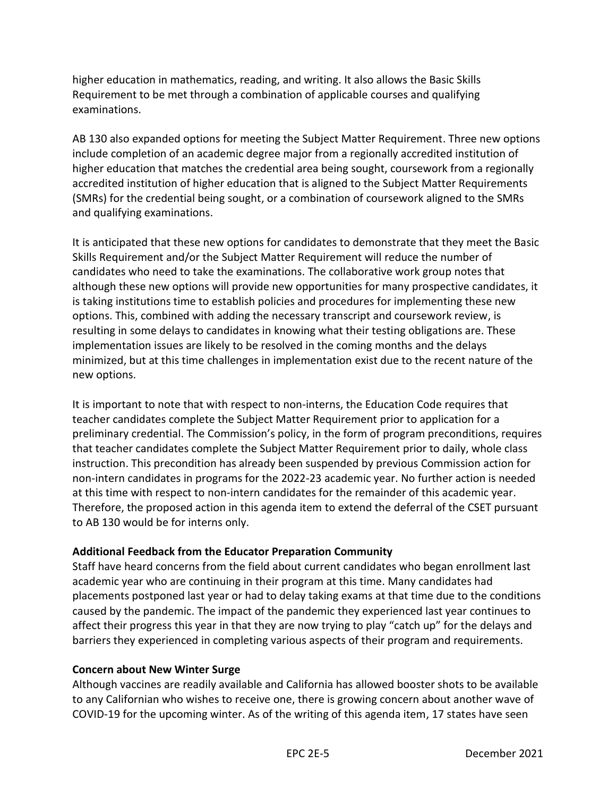higher education in mathematics, reading, and writing. It also allows the Basic Skills Requirement to be met through a combination of applicable courses and qualifying examinations.

AB 130 also expanded options for meeting the Subject Matter Requirement. Three new options include completion of an academic degree major from a regionally accredited institution of higher education that matches the credential area being sought, coursework from a regionally accredited institution of higher education that is aligned to the Subject Matter Requirements (SMRs) for the credential being sought, or a combination of coursework aligned to the SMRs and qualifying examinations.

It is anticipated that these new options for candidates to demonstrate that they meet the Basic Skills Requirement and/or the Subject Matter Requirement will reduce the number of candidates who need to take the examinations. The collaborative work group notes that although these new options will provide new opportunities for many prospective candidates, it is taking institutions time to establish policies and procedures for implementing these new options. This, combined with adding the necessary transcript and coursework review, is resulting in some delays to candidates in knowing what their testing obligations are. These implementation issues are likely to be resolved in the coming months and the delays minimized, but at this time challenges in implementation exist due to the recent nature of the new options.

It is important to note that with respect to non-interns, the Education Code requires that teacher candidates complete the Subject Matter Requirement prior to application for a preliminary credential. The Commission's policy, in the form of program preconditions, requires that teacher candidates complete the Subject Matter Requirement prior to daily, whole class instruction. This precondition has already been suspended by previous Commission action for non-intern candidates in programs for the 2022-23 academic year. No further action is needed at this time with respect to non-intern candidates for the remainder of this academic year. Therefore, the proposed action in this agenda item to extend the deferral of the CSET pursuant to AB 130 would be for interns only.

# **Additional Feedback from the Educator Preparation Community**

Staff have heard concerns from the field about current candidates who began enrollment last academic year who are continuing in their program at this time. Many candidates had placements postponed last year or had to delay taking exams at that time due to the conditions caused by the pandemic. The impact of the pandemic they experienced last year continues to affect their progress this year in that they are now trying to play "catch up" for the delays and barriers they experienced in completing various aspects of their program and requirements.

# **Concern about New Winter Surge**

Although vaccines are readily available and California has allowed booster shots to be available to any Californian who wishes to receive one, there is growing concern about another wave of COVID-19 for the upcoming winter. As of the writing of this agenda item, 17 states have seen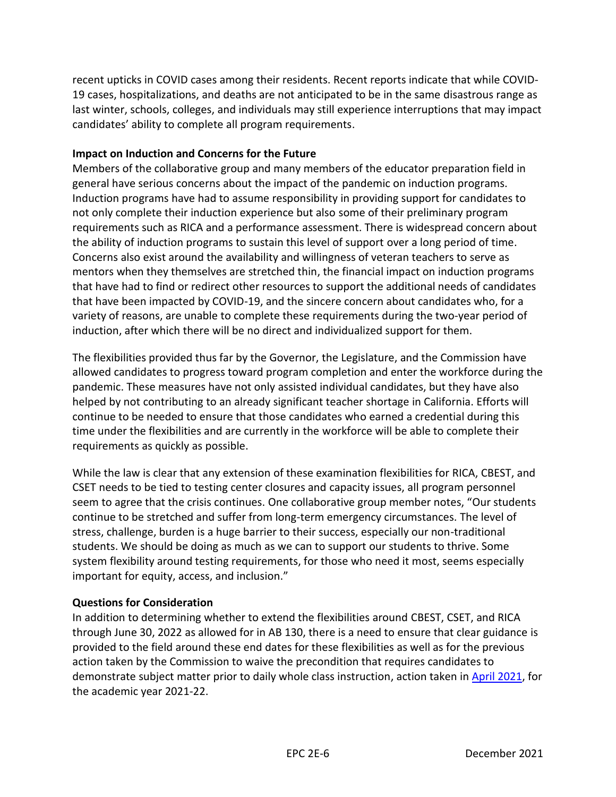recent upticks in COVID cases among their residents. Recent reports indicate that while COVID-19 cases, hospitalizations, and deaths are not anticipated to be in the same disastrous range as last winter, schools, colleges, and individuals may still experience interruptions that may impact candidates' ability to complete all program requirements.

#### **Impact on Induction and Concerns for the Future**

Members of the collaborative group and many members of the educator preparation field in general have serious concerns about the impact of the pandemic on induction programs. Induction programs have had to assume responsibility in providing support for candidates to not only complete their induction experience but also some of their preliminary program requirements such as RICA and a performance assessment. There is widespread concern about the ability of induction programs to sustain this level of support over a long period of time. Concerns also exist around the availability and willingness of veteran teachers to serve as mentors when they themselves are stretched thin, the financial impact on induction programs that have had to find or redirect other resources to support the additional needs of candidates that have been impacted by COVID-19, and the sincere concern about candidates who, for a variety of reasons, are unable to complete these requirements during the two-year period of induction, after which there will be no direct and individualized support for them.

The flexibilities provided thus far by the Governor, the Legislature, and the Commission have allowed candidates to progress toward program completion and enter the workforce during the pandemic. These measures have not only assisted individual candidates, but they have also helped by not contributing to an already significant teacher shortage in California. Efforts will continue to be needed to ensure that those candidates who earned a credential during this time under the flexibilities and are currently in the workforce will be able to complete their requirements as quickly as possible.

While the law is clear that any extension of these examination flexibilities for RICA, CBEST, and CSET needs to be tied to testing center closures and capacity issues, all program personnel seem to agree that the crisis continues. One collaborative group member notes, "Our students continue to be stretched and suffer from long-term emergency circumstances. The level of stress, challenge, burden is a huge barrier to their success, especially our non-traditional students. We should be doing as much as we can to support our students to thrive. Some system flexibility around testing requirements, for those who need it most, seems especially important for equity, access, and inclusion."

#### **Questions for Consideration**

In addition to determining whether to extend the flexibilities around CBEST, CSET, and RICA through June 30, 2022 as allowed for in AB 130, there is a need to ensure that clear guidance is provided to the field around these end dates for these flexibilities as well as for the previous action taken by the Commission to waive the precondition that requires candidates to demonstrate subject matter prior to daily whole class instruction, action taken in [April 2021,](https://www.ctc.ca.gov/docs/default-source/commission/agendas/2021-04/2021-04-4h.pdf?sfvrsn=fc352bb1_2) for the academic year 2021-22.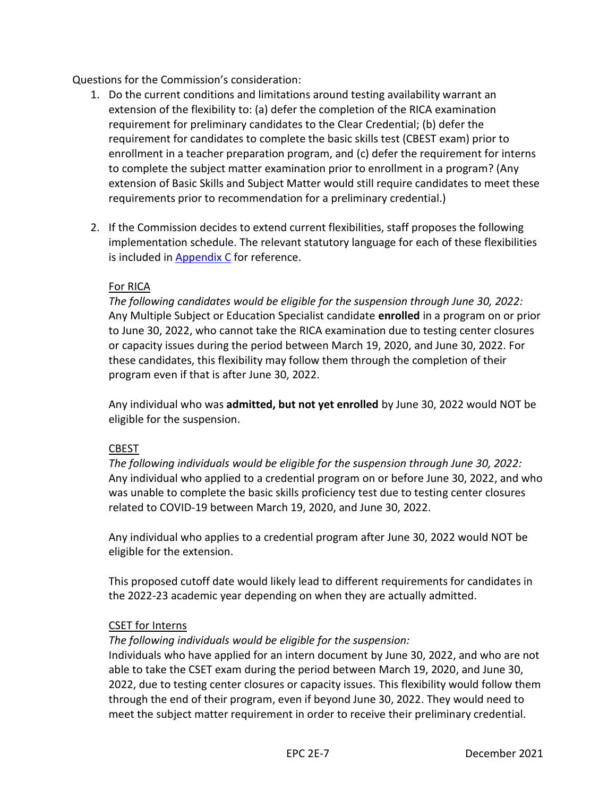Questions for the Commission's consideration:

- 1. Do the current conditions and limitations around testing availability warrant an extension of the flexibility to: (a) defer the completion of the RICA examination requirement for preliminary candidates to the Clear Credential; (b) defer the requirement for candidates to complete the basic skills test (CBEST exam) prior to enrollment in a teacher preparation program, and (c) defer the requirement for interns to complete the subject matter examination prior to enrollment in a program? (Any extension of Basic Skills and Subject Matter would still require candidates to meet these requirements prior to recommendation for a preliminary credential.)
- 2. If the Commission decides to extend current flexibilities, staff proposes the following implementation schedule. The relevant statutory language for each of these flexibilities is included in [Appendix C](#page-12-0) for reference.

#### For RICA

*The following candidates would be eligible for the suspension through June 30, 2022:* Any Multiple Subject or Education Specialist candidate **enrolled** in a program on or prior to June 30, 2022, who cannot take the RICA examination due to testing center closures or capacity issues during the period between March 19, 2020, and June 30, 2022. For these candidates, this flexibility may follow them through the completion of their program even if that is after June 30, 2022.

Any individual who was **admitted, but not yet enrolled** by June 30, 2022 would NOT be eligible for the suspension.

# CBEST

*The following individuals would be eligible for the suspension through June 30, 2022:* Any individual who applied to a credential program on or before June 30, 2022, and who was unable to complete the basic skills proficiency test due to testing center closures related to COVID-19 between March 19, 2020, and June 30, 2022.

Any individual who applies to a credential program after June 30, 2022 would NOT be eligible for the extension.

This proposed cutoff date would likely lead to different requirements for candidates in the 2022-23 academic year depending on when they are actually admitted.

#### CSET for Interns

#### *The following individuals would be eligible for the suspension:*

Individuals who have applied for an intern document by June 30, 2022, and who are not able to take the CSET exam during the period between March 19, 2020, and June 30, 2022, due to testing center closures or capacity issues. This flexibility would follow them through the end of their program, even if beyond June 30, 2022. They would need to meet the subject matter requirement in order to receive their preliminary credential.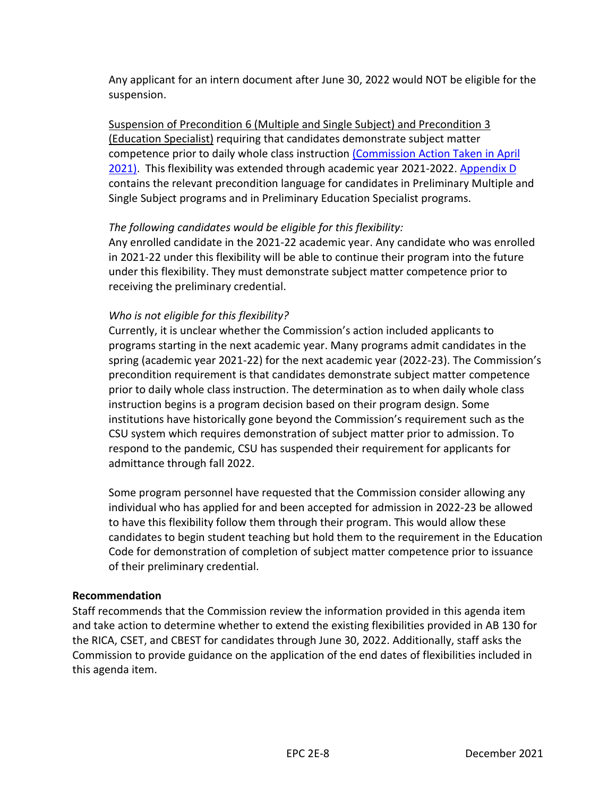Any applicant for an intern document after June 30, 2022 would NOT be eligible for the suspension.

Suspension of Precondition 6 (Multiple and Single Subject) and Precondition 3 (Education Specialist) requiring that candidates demonstrate subject matter competence prior to daily whole class instruction [\(Commission Action Taken in April](https://www.ctc.ca.gov/docs/default-source/commission/agendas/2021-04/2021-04-4h.pdf?sfvrsn=fc352bb1_2)  [2021\).](https://www.ctc.ca.gov/docs/default-source/commission/agendas/2021-04/2021-04-4h.pdf?sfvrsn=fc352bb1_2) This flexibility was extended through academic year 2021-2022. [Appendix D](#page-14-0) contains the relevant precondition language for candidates in Preliminary Multiple and Single Subject programs and in Preliminary Education Specialist programs.

# *The following candidates would be eligible for this flexibility:*

Any enrolled candidate in the 2021-22 academic year. Any candidate who was enrolled in 2021-22 under this flexibility will be able to continue their program into the future under this flexibility. They must demonstrate subject matter competence prior to receiving the preliminary credential.

# *Who is not eligible for this flexibility?*

Currently, it is unclear whether the Commission's action included applicants to programs starting in the next academic year. Many programs admit candidates in the spring (academic year 2021-22) for the next academic year (2022-23). The Commission's precondition requirement is that candidates demonstrate subject matter competence prior to daily whole class instruction. The determination as to when daily whole class instruction begins is a program decision based on their program design. Some institutions have historically gone beyond the Commission's requirement such as the CSU system which requires demonstration of subject matter prior to admission. To respond to the pandemic, CSU has suspended their requirement for applicants for admittance through fall 2022.

Some program personnel have requested that the Commission consider allowing any individual who has applied for and been accepted for admission in 2022-23 be allowed to have this flexibility follow them through their program. This would allow these candidates to begin student teaching but hold them to the requirement in the Education Code for demonstration of completion of subject matter competence prior to issuance of their preliminary credential.

# **Recommendation**

Staff recommends that the Commission review the information provided in this agenda item and take action to determine whether to extend the existing flexibilities provided in AB 130 for the RICA, CSET, and CBEST for candidates through June 30, 2022. Additionally, staff asks the Commission to provide guidance on the application of the end dates of flexibilities included in this agenda item.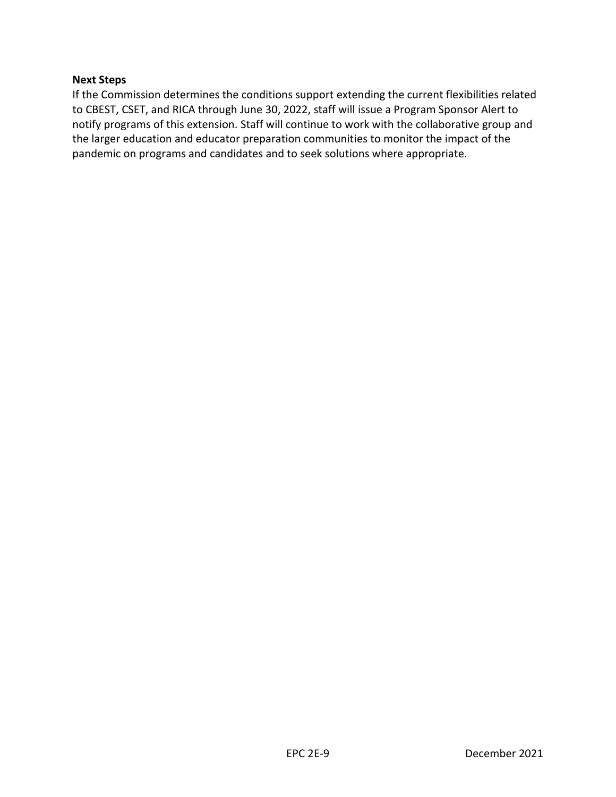#### **Next Steps**

If the Commission determines the conditions support extending the current flexibilities related to CBEST, CSET, and RICA through June 30, 2022, staff will issue a Program Sponsor Alert to notify programs of this extension. Staff will continue to work with the collaborative group and the larger education and educator preparation communities to monitor the impact of the pandemic on programs and candidates and to seek solutions where appropriate.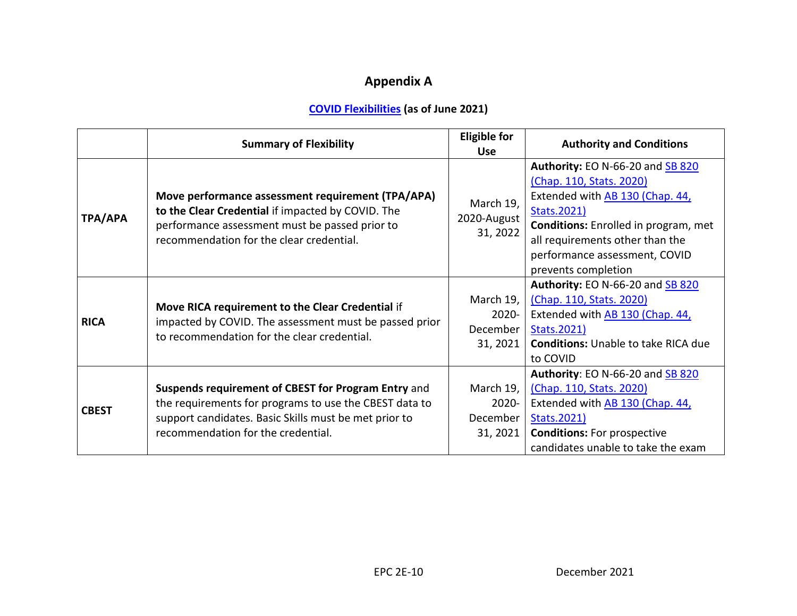# **Appendix A**

# **[COVID Flexibilities](https://www.ctc.ca.gov/commission/covid-19-commission-action-related-to-covid-19) (as of June 2021)**

<span id="page-10-0"></span>

|              | <b>Summary of Flexibility</b>                                                                                                                                                                                | <b>Eligible for</b><br><b>Use</b>             | <b>Authority and Conditions</b>                                                                                                                                                                                                                          |
|--------------|--------------------------------------------------------------------------------------------------------------------------------------------------------------------------------------------------------------|-----------------------------------------------|----------------------------------------------------------------------------------------------------------------------------------------------------------------------------------------------------------------------------------------------------------|
| TPA/APA      | Move performance assessment requirement (TPA/APA)<br>to the Clear Credential if impacted by COVID. The<br>performance assessment must be passed prior to<br>recommendation for the clear credential.         | March 19,<br>2020-August<br>31, 2022          | Authority: EO N-66-20 and SB 820<br>(Chap. 110, Stats. 2020)<br>Extended with AB 130 (Chap. 44,<br>Stats.2021)<br><b>Conditions:</b> Enrolled in program, met<br>all requirements other than the<br>performance assessment, COVID<br>prevents completion |
| <b>RICA</b>  | Move RICA requirement to the Clear Credential if<br>impacted by COVID. The assessment must be passed prior<br>to recommendation for the clear credential.                                                    | March 19,<br>2020-<br>December<br>31, 2021    | Authority: EO N-66-20 and SB 820<br>(Chap. 110, Stats. 2020)<br>Extended with AB 130 (Chap. 44,<br>Stats.2021)<br><b>Conditions: Unable to take RICA due</b><br>to COVID                                                                                 |
| <b>CBEST</b> | Suspends requirement of CBEST for Program Entry and<br>the requirements for programs to use the CBEST data to<br>support candidates. Basic Skills must be met prior to<br>recommendation for the credential. | March 19,<br>$2020 -$<br>December<br>31, 2021 | Authority: EO N-66-20 and SB 820<br>(Chap. 110, Stats. 2020)<br>Extended with AB 130 (Chap. 44,<br>Stats.2021)<br><b>Conditions:</b> For prospective<br>candidates unable to take the exam                                                               |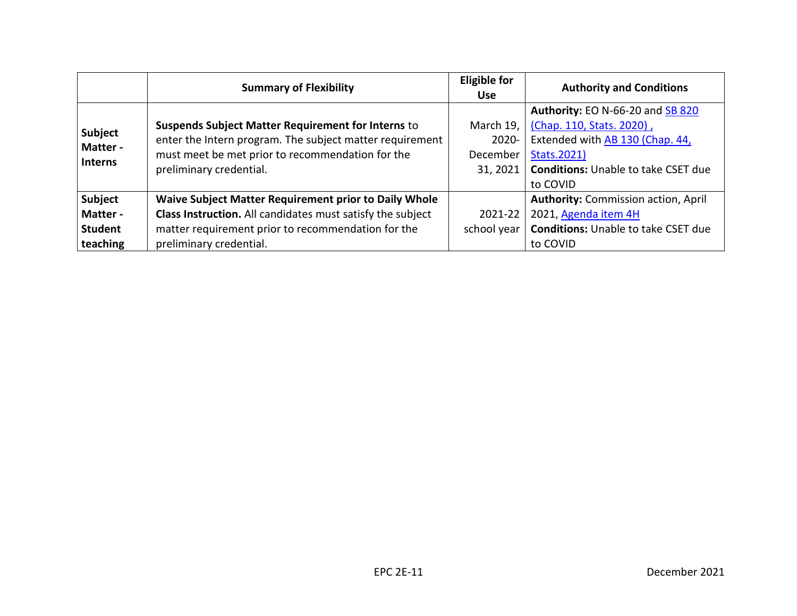|                                              | <b>Summary of Flexibility</b>                                | <b>Eligible for</b><br><b>Use</b> | <b>Authority and Conditions</b>            |
|----------------------------------------------|--------------------------------------------------------------|-----------------------------------|--------------------------------------------|
|                                              |                                                              |                                   | Authority: EO N-66-20 and SB 820           |
| <b>Subject</b><br>Matter -<br><b>Interns</b> | <b>Suspends Subject Matter Requirement for Interns to</b>    | March 19,                         | (Chap. 110, Stats. 2020),                  |
|                                              | enter the Intern program. The subject matter requirement     | $2020 -$                          | Extended with AB 130 (Chap. 44,            |
|                                              | must meet be met prior to recommendation for the             | December                          | Stats.2021)                                |
|                                              | preliminary credential.                                      | 31, 2021                          | <b>Conditions:</b> Unable to take CSET due |
|                                              |                                                              |                                   | to COVID                                   |
| Subject                                      | <b>Waive Subject Matter Requirement prior to Daily Whole</b> |                                   | <b>Authority: Commission action, April</b> |
| Matter -                                     | Class Instruction. All candidates must satisfy the subject   | 2021-22                           | 2021, Agenda item 4H                       |
| <b>Student</b>                               | matter requirement prior to recommendation for the           | school year                       | <b>Conditions:</b> Unable to take CSET due |
| teaching                                     | preliminary credential.                                      |                                   | to COVID                                   |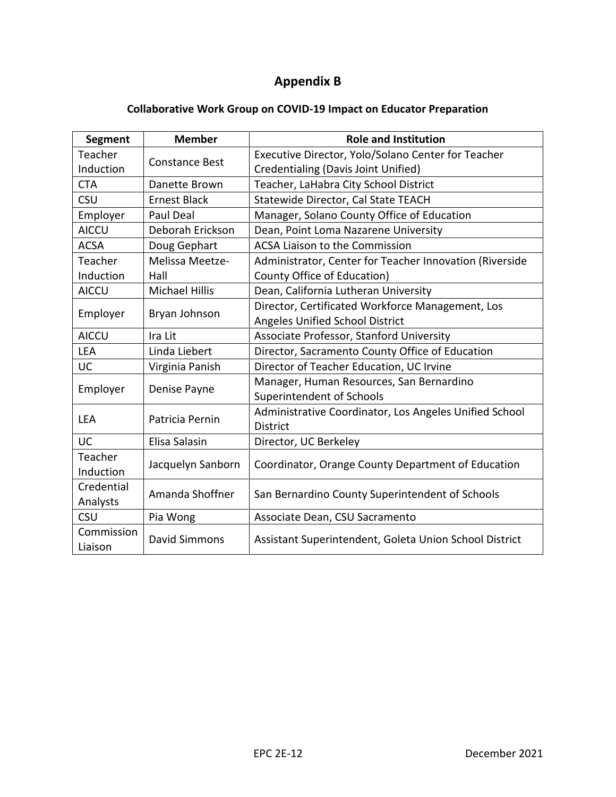# **Appendix B**

# **Collaborative Work Group on COVID-19 Impact on Educator Preparation**

<span id="page-12-0"></span>

| <b>Segment</b>        | <b>Member</b>         | <b>Role and Institution</b>                             |  |  |
|-----------------------|-----------------------|---------------------------------------------------------|--|--|
| Teacher               | <b>Constance Best</b> | Executive Director, Yolo/Solano Center for Teacher      |  |  |
| Induction             |                       | Credentialing (Davis Joint Unified)                     |  |  |
| <b>CTA</b>            | Danette Brown         | Teacher, LaHabra City School District                   |  |  |
| <b>CSU</b>            | <b>Ernest Black</b>   | Statewide Director, Cal State TEACH                     |  |  |
| Employer              | <b>Paul Deal</b>      | Manager, Solano County Office of Education              |  |  |
| <b>AICCU</b>          | Deborah Erickson      | Dean, Point Loma Nazarene University                    |  |  |
| <b>ACSA</b>           | Doug Gephart          | <b>ACSA Liaison to the Commission</b>                   |  |  |
| Teacher               | Melissa Meetze-       | Administrator, Center for Teacher Innovation (Riverside |  |  |
| Induction             | Hall                  | County Office of Education)                             |  |  |
| <b>AICCU</b>          | <b>Michael Hillis</b> | Dean, California Lutheran University                    |  |  |
|                       | Bryan Johnson         | Director, Certificated Workforce Management, Los        |  |  |
| Employer              |                       | Angeles Unified School District                         |  |  |
| <b>AICCU</b>          | Ira Lit               | Associate Professor, Stanford University                |  |  |
| <b>LEA</b>            | Linda Liebert         | Director, Sacramento County Office of Education         |  |  |
| <b>UC</b>             | Virginia Panish       | Director of Teacher Education, UC Irvine                |  |  |
|                       | Denise Payne          | Manager, Human Resources, San Bernardino                |  |  |
| Employer              |                       | Superintendent of Schools                               |  |  |
| <b>LEA</b>            | Patricia Pernin       | Administrative Coordinator, Los Angeles Unified School  |  |  |
|                       |                       | <b>District</b>                                         |  |  |
| UC                    | Elisa Salasin         | Director, UC Berkeley                                   |  |  |
| Teacher               |                       | Coordinator, Orange County Department of Education      |  |  |
| Induction             | Jacquelyn Sanborn     |                                                         |  |  |
| Credential            | Amanda Shoffner       | San Bernardino County Superintendent of Schools         |  |  |
| Analysts              |                       |                                                         |  |  |
| <b>CSU</b>            | Pia Wong              | Associate Dean, CSU Sacramento                          |  |  |
| Commission<br>Liaison | <b>David Simmons</b>  | Assistant Superintendent, Goleta Union School District  |  |  |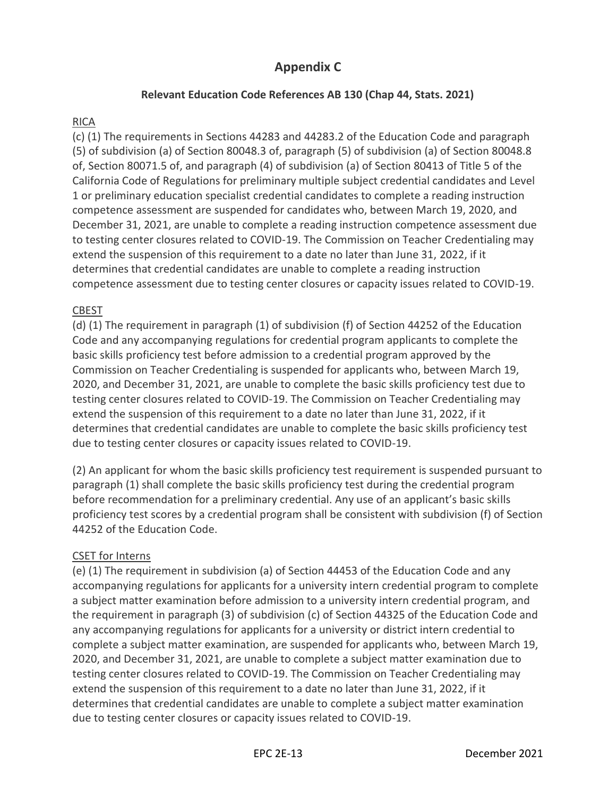# **Appendix C**

# **Relevant Education Code References AB 130 (Chap 44, Stats. 2021)**

# RICA

(c) (1) The requirements in Sections 44283 and 44283.2 of the Education Code and paragraph (5) of subdivision (a) of Section 80048.3 of, paragraph (5) of subdivision (a) of Section 80048.8 of, Section 80071.5 of, and paragraph (4) of subdivision (a) of Section 80413 of Title 5 of the California Code of Regulations for preliminary multiple subject credential candidates and Level 1 or preliminary education specialist credential candidates to complete a reading instruction competence assessment are suspended for candidates who, between March 19, 2020, and December 31, 2021, are unable to complete a reading instruction competence assessment due to testing center closures related to COVID-19. The Commission on Teacher Credentialing may extend the suspension of this requirement to a date no later than June 31, 2022, if it determines that credential candidates are unable to complete a reading instruction competence assessment due to testing center closures or capacity issues related to COVID-19.

# CBEST

(d) (1) The requirement in paragraph (1) of subdivision (f) of Section 44252 of the Education Code and any accompanying regulations for credential program applicants to complete the basic skills proficiency test before admission to a credential program approved by the Commission on Teacher Credentialing is suspended for applicants who, between March 19, 2020, and December 31, 2021, are unable to complete the basic skills proficiency test due to testing center closures related to COVID-19. The Commission on Teacher Credentialing may extend the suspension of this requirement to a date no later than June 31, 2022, if it determines that credential candidates are unable to complete the basic skills proficiency test due to testing center closures or capacity issues related to COVID-19.

(2) An applicant for whom the basic skills proficiency test requirement is suspended pursuant to paragraph (1) shall complete the basic skills proficiency test during the credential program before recommendation for a preliminary credential. Any use of an applicant's basic skills proficiency test scores by a credential program shall be consistent with subdivision (f) of Section 44252 of the Education Code.

# CSET for Interns

(e) (1) The requirement in subdivision (a) of Section 44453 of the Education Code and any accompanying regulations for applicants for a university intern credential program to complete a subject matter examination before admission to a university intern credential program, and the requirement in paragraph (3) of subdivision (c) of Section 44325 of the Education Code and any accompanying regulations for applicants for a university or district intern credential to complete a subject matter examination, are suspended for applicants who, between March 19, 2020, and December 31, 2021, are unable to complete a subject matter examination due to testing center closures related to COVID-19. The Commission on Teacher Credentialing may extend the suspension of this requirement to a date no later than June 31, 2022, if it determines that credential candidates are unable to complete a subject matter examination due to testing center closures or capacity issues related to COVID-19.